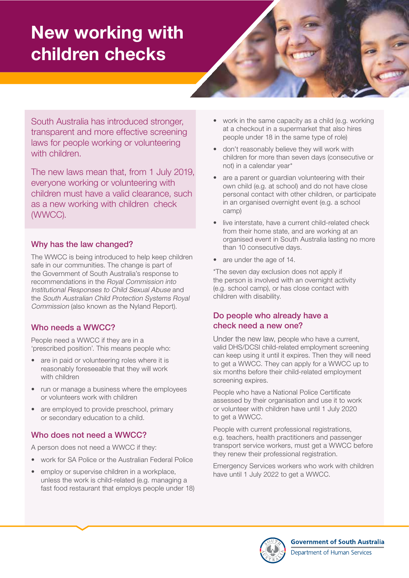# New working with children checks



South Australia has introduced stronger, transparent and more effective screening laws for people working or volunteering with children.

The new laws mean that, from 1 July 2019, everyone working or volunteering with children must have a valid clearance, such as a new working with children check (WWCC).

## Why has the law changed?

The WWCC is being introduced to help keep children safe in our communities. The change is part of the Government of South Australia's response to recommendations in the Royal Commission into Institutional Responses to Child Sexual Abuse and the South Australian Child Protection Systems Royal Commission (also known as the Nyland Report).

## Who needs a WWCC?

People need a WWCC if they are in a 'prescribed position'. This means people who:

- are in paid or volunteering roles where it is reasonably foreseeable that they will work with children
- run or manage a business where the employees or volunteers work with children
- are employed to provide preschool, primary or secondary education to a child.

## Who does not need a WWCC?

A person does not need a WWCC if they:

- work for SA Police or the Australian Federal Police
- employ or supervise children in a workplace. unless the work is child-related (e.g. managing a fast food restaurant that employs people under 18)
- work in the same capacity as a child (e.g. working at a checkout in a supermarket that also hires people under 18 in the same type of role)
- don't reasonably believe they will work with children for more than seven days (consecutive or not) in a calendar year\*
- are a parent or quardian volunteering with their own child (e.g. at school) and do not have close personal contact with other children, or participate in an organised overnight event (e.g. a school camp)
- live interstate, have a current child-related check from their home state, and are working at an organised event in South Australia lasting no more than 10 consecutive days.
- are under the age of 14.

\*The seven day exclusion does not apply if the person is involved with an overnight activity (e.g. school camp), or has close contact with children with disability.

### Do people who already have a check need a new one?

Under the new law, people who have a current, valid DHS/DCSI child-related employment screening can keep using it until it expires. Then they will need to get a WWCC. They can apply for a WWCC up to six months before their child-related employment screening expires.

People who have a National Police Certificate assessed by their organisation and use it to work or volunteer with children have until 1 July 2020 to get a WWCC.

People with current professional registrations, e.g. teachers, health practitioners and passenger transport service workers, must get a WWCC before they renew their professional registration.

Emergency Services workers who work with children have until 1 July 2022 to get a WWCC.